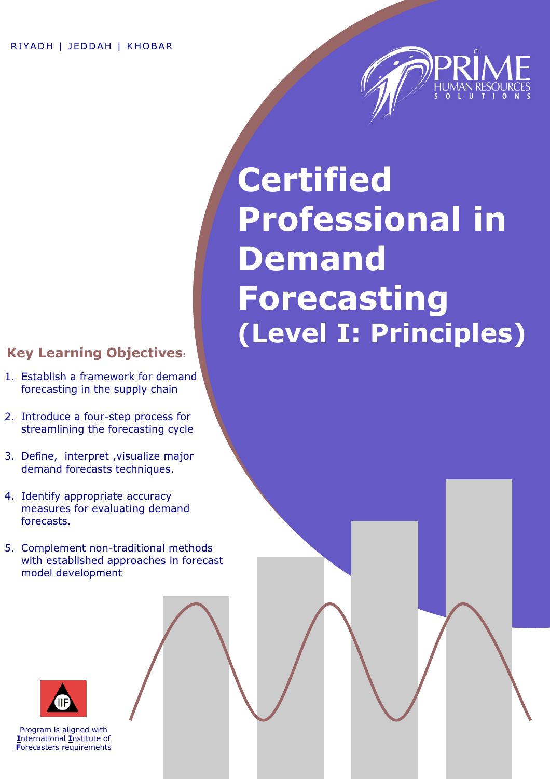

# **Certified** Professional in Demand Forecasting (Level I: Principles)

## Key Learning Objectives:

- 1. Establish a framework for demand forecasting in the supply chain
- 2. Introduce a four-step process for streamlining the forecasting cycle
- 3. Define, interpret ,visualize major demand forecasts techniques.
- 4. Identify appropriate accuracy measures for evaluating demand forecasts.
- 5. Complement non-traditional methods with established approaches in forecast model development



Program is aligned with International Institute of Forecasters requirements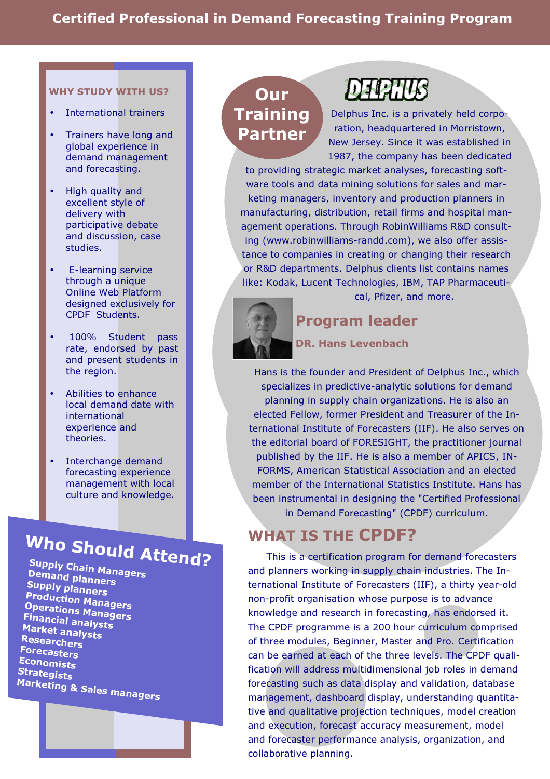#### WHY STUDY WITH US?

- International trainers
- Trainers have long and global experience in demand management and forecasting.
- High quality and excellent style of delivery with participative debate and discussion, case studies.
- E-learning service through a unique Online Web Platform designed exclusively for CPDF Students.
- 100% Student pass rate, endorsed by past and present students in the region.
- Abilities to enhance local demand date with international experience and theories.
- Interchange demand forecasting experience management with local culture and knowledge.

## Who Should Attend?

Supply Chain Managers<br>Demand play Demand planners<br>Sunnly nie P **Supply planners** Op ro e d auction Managers<br>rations Managers Uperations Managers<br>Financial anal Market analysts **Financial analysts** Researchers Forecasters **Economists Strategists Marketing & Sales managers** 

**Our Training** Partner

**DEPATIS** 

Delphus Inc. is a privately held corporation, headquartered in Morristown, New Jersey. Since it was established in 1987, the company has been dedicated

to providing strategic market analyses, forecasting software tools and data mining solutions for sales and marketing managers, inventory and production planners in manufacturing, distribution, retail firms and hospital management operations. Through RobinWilliams R&D consulting (www.robinwilliams-randd.com), we also offer assistance to companies in creating or changing their research or R&D departments. Delphus clients list contains names like: Kodak, Lucent Technologies, IBM, TAP Pharmaceutical, Pfizer, and more.



Program leader

## DR. Hans Levenbach

Hans is the founder and President of Delphus Inc., which specializes in predictive-analytic solutions for demand planning in supply chain organizations. He is also an elected Fellow, former President and Treasurer of the International Institute of Forecasters (IIF). He also serves on the editorial board of FORESIGHT, the practitioner journal published by the IIF. He is also a member of APICS, IN-FORMS, American Statistical Association and an elected member of the International Statistics Institute. Hans has been instrumental in designing the "Certified Professional in Demand Forecasting" (CPDF) curriculum.

## WHAT IS THE CPDF?

 This is a certification program for demand forecasters and planners working in supply chain industries. The International Institute of Forecasters (IIF), a thirty year-old non-profit organisation whose purpose is to advance knowledge and research in forecasting, has endorsed it. The CPDF programme is a 200 hour curriculum comprised of three modules, Beginner, Master and Pro. Certification can be earned at each of the three levels. The CPDF qualification will address multidimensional job roles in demand forecasting such as data display and validation, database management, dashboard display, understanding quantitative and qualitative projection techniques, model creation and execution, forecast accuracy measurement, model and forecaster performance analysis, organization, and collaborative planning.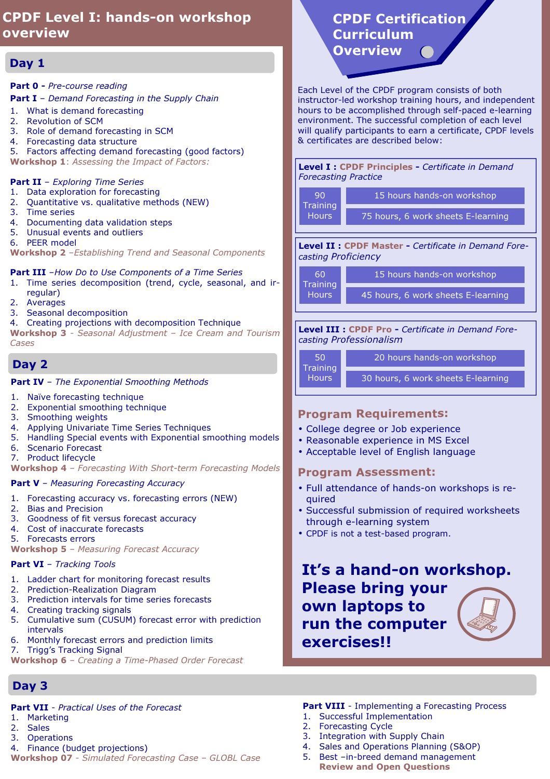## CPDF Level I: hands-on workshop overview

## Day 1

#### Part 0 - Pre-course reading

**Part I** - Demand Forecasting in the Supply Chain

- 1. What is demand forecasting
- 2. Revolution of SCM
- 3. Role of demand forecasting in SCM
- 4. Forecasting data structure
- 5. Factors affecting demand forecasting (good factors)

Workshop 1: Assessing the Impact of Factors:

#### Part II - Exploring Time Series

- 1. Data exploration for forecasting
- 2. Quantitative vs. qualitative methods (NEW)
- 3. Time series
- 4. Documenting data validation steps
- 5. Unusual events and outliers
- 6. PEER model

Workshop 2 - Establishing Trend and Seasonal Components

#### **Part III** -How Do to Use Components of a Time Series

- 1. Time series decomposition (trend, cycle, seasonal, and irregular)
- 2. Averages
- 3. Seasonal decomposition
- 4. Creating projections with decomposition Technique

Workshop 3 - Seasonal Adjustment - Ice Cream and Tourism Cases

## Day 2

Part IV - The Exponential Smoothing Methods

- 1. Naïve forecasting technique
- 2. Exponential smoothing technique
- 3. Smoothing weights
- 4. Applying Univariate Time Series Techniques
- 5. Handling Special events with Exponential smoothing models
- 6. Scenario Forecast
- 7. Product lifecycle

Workshop 4 - Forecasting With Short-term Forecasting Models

#### Part V - Measuring Forecasting Accuracy

- 1. Forecasting accuracy vs. forecasting errors (NEW)
- 2. Bias and Precision
- 3. Goodness of fit versus forecast accuracy
- 4. Cost of inaccurate forecasts
- 5. Forecasts errors
- Workshop 5 Measuring Forecast Accuracy

#### Part VI - Tracking Tools

- 1. Ladder chart for monitoring forecast results
- 2. Prediction-Realization Diagram
- 3. Prediction intervals for time series forecasts
- 4. Creating tracking signals
- 5. Cumulative sum (CUSUM) forecast error with prediction intervals
- 6. Monthly forecast errors and prediction limits
- 7. Trigg's Tracking Signal
- Workshop 6 Creating a Time-Phased Order Forecast

## Day 3

## Part VII - Practical Uses of the Forecast

- 1. Marketing
- 2. Sales
- 3. Operations
- 4. Finance (budget projections)

Workshop 07 - Simulated Forecasting Case - GLOBL Case

## CPDF Certification Curriculum Overview

Each Level of the CPDF program consists of both instructor-led workshop training hours, and independent hours to be accomplished through self-paced e-learning environment. The successful completion of each level will qualify participants to earn a certificate, CPDF levels & certificates are described below:

#### Level I : CPDF Principles - Certificate in Demand Forecasting Practice

| 90<br>Training<br>Hours | 15 hours hands-on workshop         |
|-------------------------|------------------------------------|
|                         | 75 hours, 6 work sheets E-learning |

Level II : CPDF Master - Certificate in Demand Forecasting Proficiency

| .60'<br>Training | 15 hours hands-on workshop         |
|------------------|------------------------------------|
| Hours'           | 45 hours, 6 work sheets E-learning |

Level III : CPDF Pro - Certificate in Demand Forecasting Professionalism

| .50'                            | 20 hours hands-on workshop         |
|---------------------------------|------------------------------------|
| <b>Training</b><br><b>Hours</b> | 30 hours, 6 work sheets E-learning |

## Program Requirements:

- College degree or Job experience
- Reasonable experience in MS Excel
- Acceptable level of English language

## Program Assessment:

- Full attendance of hands-on workshops is required
- Successful submission of required worksheets through e-learning system
- CPDF is not a test-based program.

## It's a hand-on workshop. Please bring your own laptops to run the computer exercises!!

## **Part VIII** - Implementing a Forecasting Process

- 1. Successful Implementation
- 2. Forecasting Cycle
- 3. Integration with Supply Chain
- 4. Sales and Operations Planning (S&OP)
- 5. Best –in-breed demand management Review and Open Questions